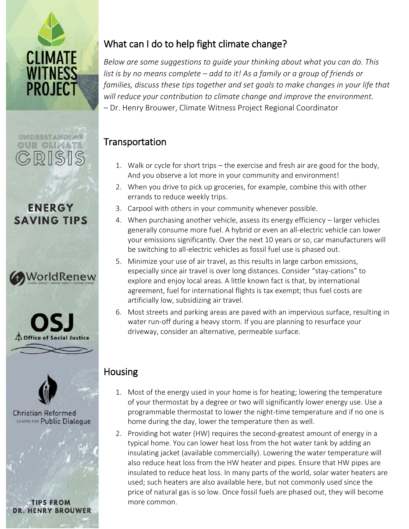

# UNDERSTANDING OUR CLIMATE CRISI

## **ENERGY SAVING TIPS**







**Christian Reformed CENTRE FOR Public Dialogue** 

**TIPS FROM DR. HENRY BROUWER** 

## What can I do to help fight climate change?

*Below are some suggestions to guide your thinking about what you can do. This list is by no means complete – add to it! As a family or a group of friends or families, discuss these tips together and set goals to make changes in your life that will reduce your contribution to climate change and improve the environment.* – Dr. Henry Brouwer, Climate Witness Project Regional Coordinator

## **Transportation**

- 1. Walk or cycle for short trips the exercise and fresh air are good for the body, And you observe a lot more in your community and environment!
- 2. When you drive to pick up groceries, for example, combine this with other errands to reduce weekly trips.
- 3. Carpool with others in your community whenever possible.
- 4. When purchasing another vehicle, assess its energy efficiency larger vehicles generally consume more fuel. A hybrid or even an all-electric vehicle can lower your emissions significantly. Over the next 10 years or so, car manufacturers will be switching to all-electric vehicles as fossil fuel use is phased out.
- 5. Minimize your use of air travel, as this results in large carbon emissions, especially since air travel is over long distances. Consider "stay-cations" to explore and enjoy local areas. A little known fact is that, by international agreement, fuel for international flights is tax exempt; thus fuel costs are artificially low, subsidizing air travel.
- 6. Most streets and parking areas are paved with an impervious surface, resulting in water run-off during a heavy storm. If you are planning to resurface your driveway, consider an alternative, permeable surface.

## Housing

- 1. Most of the energy used in your home is for heating; lowering the temperature of your thermostat by a degree or two will significantly lower energy use. Use a programmable thermostat to lower the night-time temperature and if no one is home during the day, lower the temperature then as well.
- 2. Providing hot water (HW) requires the second-greatest amount of energy in a typical home. You can lower heat loss from the hot water tank by adding an insulating jacket (available commercially). Lowering the water temperature will also reduce heat loss from the HW heater and pipes. Ensure that HW pipes are insulated to reduce heat loss. In many parts of the world, solar water heaters are used; such heaters are also available here, but not commonly used since the price of natural gas is so low. Once fossil fuels are phased out, they will become more common.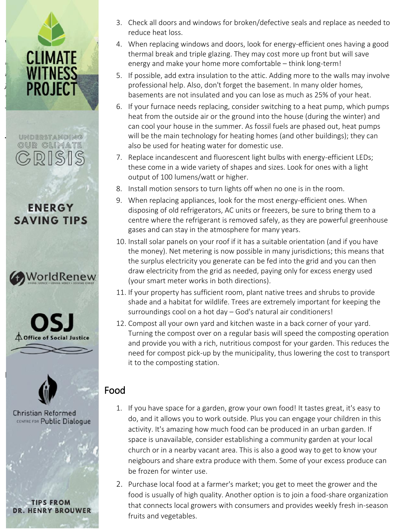understanding<br>OUR CLIMATE





Housing



DR. HENRY BROUWER

- 3. Check all doors and windows for broken/defective seals and replace as needed to reduce heat loss.
- 1 do to help fight climate changes are to help fight climate change of the help fight climate changes and doors, look for energy-efficient ones having a good **ELIMIATE** energy and make your home more comfortable – think long-term! thermal break and triple glazing. They may cost more up front but will save
- **WIINESS** 5. If possible, add extra insulation to the attic. Adding more to the walls may involve **Families,** *tope* **in Fermilies** of professional help. Also, don't forget the basement. In many older homes, **TINUJEUT to contribution** basements are not insulated and you can lose as much as 25% of your heat.
- From Brow Brow Brouwer, Coordinate Regional Coordinate Regional Coordinator Regional Coordinator Brown Brown Brown Brown Brown Brown Brown Brown Brown Brown Brown Brown Brown Brown Brown Brown Brown Brown Brown Brown Brown heat from the outside air or the ground into the house (during the winter) and can cool your house in the summer. As fossil fuels are phased out, heat pumps will be the main technology for heating homes (and other buildings); they can also be used for heating water for domestic use.
	- $\sim$  KS II  $\approx$  U  $\approx$  these come in a wide variety of shapes and sizes. Look for ones with a light output of 100 lumens/watt or higher. 7. Replace incandescent and fluorescent light bulbs with energy-efficient LEDs;
	- 8. Install motion sensors to turn lights off when no one is in the room.
	- errands to reduce when replacing appliances, look for the most energy-efficient ones. When **ENERG T** disposing of old refrigerators, AC units or freezers, be sure to bring them to a  $\bf 5AVING~TIPS$  centre where the refrigerant is removed safely, as they are powerful greenhouse vehicles gases and can stay in the atmosphere for many years.<br>The access and can stay in the atmosphere for many years.
	- 10. Install solar panels on your roof if it has a suitable orientation (and if you have car money). We chielening is now possible in many jurisdictions, this means the<br>the surplus electricity you generate can be fed into the grid and you can then  $\sum_{n=1}^{\infty}$  WOTIGIKENEW (your smart meter works in both directions). the money). Net metering is now possible in many jurisdictions; this means that draw electricity from the grid as needed, paying only for excess energy used
		- 11. If your property has sufficient room, plant native trees and shrubs to provide shade and a habitat for wildlife. Trees are extremely important for keeping the surroundings cool on a hot day – God's natural air conditioners!
	- 12. Compost all your own yard and kitchen waste in a back corner of your yard. to the extreme the compost over on a regular basis will speed the composting operation and provide you with a rich, nutritious compost for your garden. This reduces the need for compost pick-up by the municipality, thus lowering the cost to transport need for compost pick-up by the municipality, thus lowering the cost to transport it to the composting station.

### Food

- tian Batarmad and a degree of the space for a garden, grow your own food! It tastes great, it's easy to tian Reformed<br>Eree Public Dialoque The night-do, and it allows you to work outside. Plus you can engage your children in this is day, day, day, activity. It's amazing how much food can be produced in an urban garden. If a space is unavailable, consider establishing a community garden at your local <sup>th</sup> the homes from the home church or in a nearby vacant area. This is also a good way to get to know your an insulation insulation insulation insulation insulation in the water of the water of the water of your excess produce can temperature will also reduce heat loss frozen for winter use.
- Ensure that HW pipes are insulated to reduce heat loss. In that that is many parts of the grower and the set of the grower and the set of the grower and the the world, solar water are used; solar meaters are government in the world.<br>
food is usually of high quality. Another option is to join a food-share organization TIPS FROM that connects local growers with consumers and provides weekly fresh in-season  $\mathcal{L}$  . Check all doors and windows for broken/defective seals and replace as  $\mathcal{L}$ fruits and vegetables.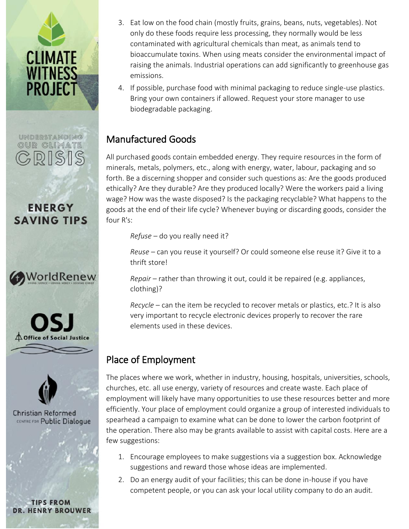

## UNDERSTANDING OUR CLIMATE  $R$

**ENERGY SAVING TIPS** 







**Christian Reformed** CENTRE FOR Public Dialogue

**TIPS FROM DR. HENRY BROUWER** 

- 3. Eat low on the food chain (mostly fruits, grains, beans, nuts, vegetables). Not only do these foods require less processing, they normally would be less contaminated with agricultural chemicals than meat, as animals tend to bioaccumulate toxins. When using meats consider the environmental impact of raising the animals. Industrial operations can add significantly to greenhouse gas emissions.
- 4. If possible, purchase food with minimal packaging to reduce single-use plastics. Bring your own containers if allowed. Request your store manager to use biodegradable packaging.

### Manufactured Goods

All purchased goods contain embedded energy. They require resources in the form of minerals, metals, polymers, etc., along with energy, water, labour, packaging and so forth. Be a discerning shopper and consider such questions as: Are the goods produced ethically? Are they durable? Are they produced locally? Were the workers paid a living wage? How was the waste disposed? Is the packaging recyclable? What happens to the goods at the end of their life cycle? Whenever buying or discarding goods, consider the four R's:

*Refuse* – do you really need it?

*Reuse* – can you reuse it yourself? Or could someone else reuse it? Give it to a thrift store!

*Repair* – rather than throwing it out, could it be repaired (e.g. appliances, clothing)?

*Recycle* – can the item be recycled to recover metals or plastics, etc.? It is also very important to recycle electronic devices properly to recover the rare elements used in these devices.

## Place of Employment

The places where we work, whether in industry, housing, hospitals, universities, schools, churches, etc. all use energy, variety of resources and create waste. Each place of employment will likely have many opportunities to use these resources better and more efficiently. Your place of employment could organize a group of interested individuals to spearhead a campaign to examine what can be done to lower the carbon footprint of the operation. There also may be grants available to assist with capital costs. Here are a few suggestions:

- 1. Encourage employees to make suggestions via a suggestion box. Acknowledge suggestions and reward those whose ideas are implemented.
- 2. Do an energy audit of your facilities; this can be done in-house if you have competent people, or you can ask your local utility company to do an audit.